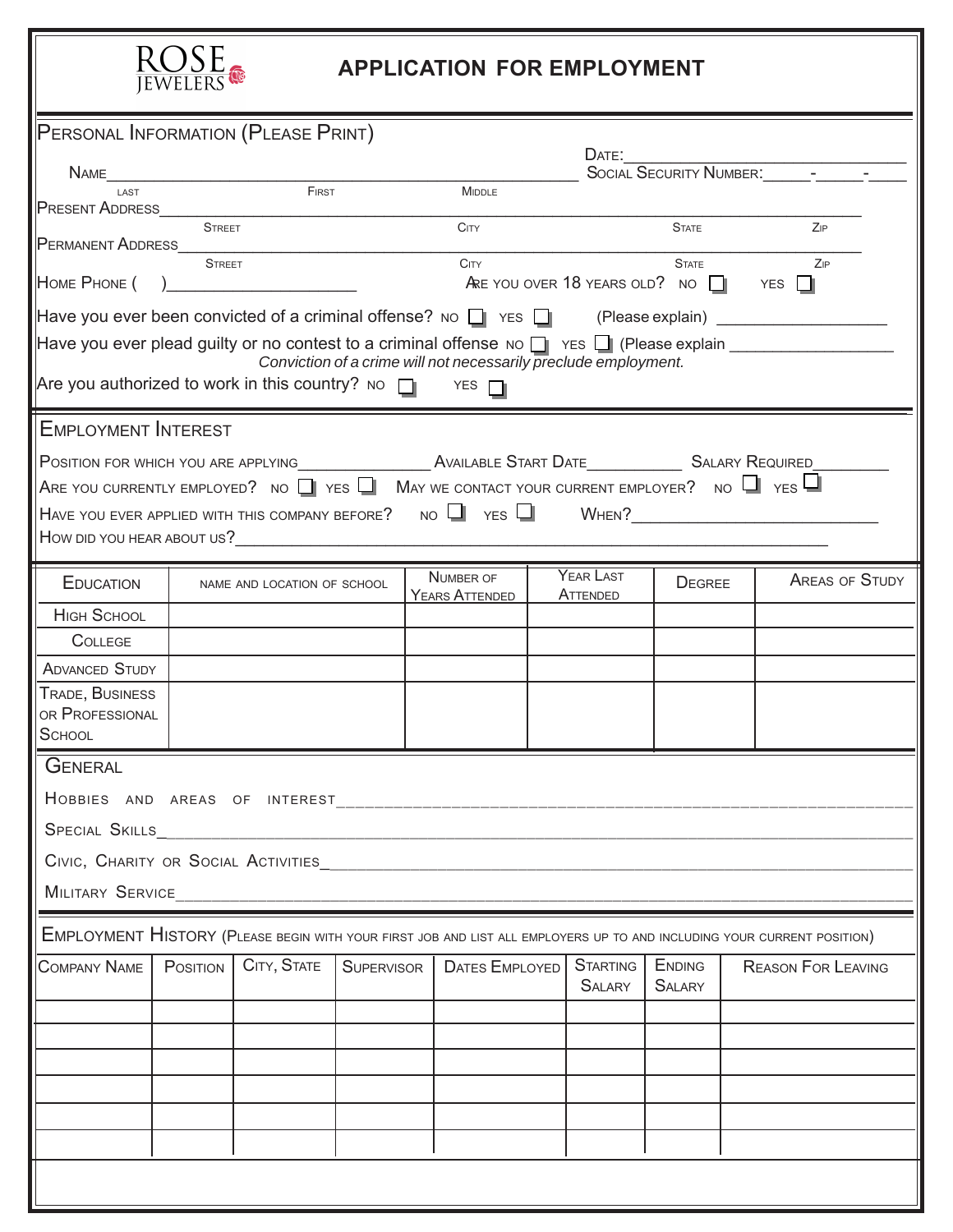

## **APPLICATION FOR EMPLOYMENT**

| JEWELERS                                                                                                                                                                      |                                                                                                                                                                    |                             |                   |  |                             |  |                                  |                                |                                                                                                                        |
|-------------------------------------------------------------------------------------------------------------------------------------------------------------------------------|--------------------------------------------------------------------------------------------------------------------------------------------------------------------|-----------------------------|-------------------|--|-----------------------------|--|----------------------------------|--------------------------------|------------------------------------------------------------------------------------------------------------------------|
| PERSONAL INFORMATION (PLEASE PRINT)                                                                                                                                           |                                                                                                                                                                    |                             |                   |  |                             |  |                                  |                                |                                                                                                                        |
| <b>N</b> AME                                                                                                                                                                  | <u> 1980 - Jan Barbara Barbara, masa ka</u>                                                                                                                        |                             |                   |  |                             |  |                                  |                                |                                                                                                                        |
| LAST<br><b>PRESENT ADDRESS</b>                                                                                                                                                |                                                                                                                                                                    | FIRST                       |                   |  | MIDDLE                      |  |                                  |                                |                                                                                                                        |
| PERMANENT ADDRESS                                                                                                                                                             | <b>STREET</b>                                                                                                                                                      |                             |                   |  | <b>CITY</b>                 |  |                                  | <b>STATE</b>                   | Zip                                                                                                                    |
| HOME PHONE (                                                                                                                                                                  | <b>STREET</b><br>C <sub>ITY</sub><br><b>STATE</b><br>ZIP<br>ARE YOU OVER 18 YEARS OLD? NO $\Box$ YES $\Box$<br>) and the contract of the contract of $\mathcal{L}$ |                             |                   |  |                             |  |                                  |                                |                                                                                                                        |
| Have you ever been convicted of a criminal offense? No $\Box$ YES $\Box$ (Please explain) ______________                                                                      |                                                                                                                                                                    |                             |                   |  |                             |  |                                  |                                |                                                                                                                        |
| Have you ever plead guilty or no contest to a criminal offense NO $\Box$ YES $\Box$ (Please explain $\Box$<br>Conviction of a crime will not necessarily preclude employment. |                                                                                                                                                                    |                             |                   |  |                             |  |                                  |                                |                                                                                                                        |
| Are you authorized to work in this country? No $\Box$ YES $\Box$                                                                                                              |                                                                                                                                                                    |                             |                   |  |                             |  |                                  |                                |                                                                                                                        |
| <b>EMPLOYMENT INTEREST</b>                                                                                                                                                    |                                                                                                                                                                    |                             |                   |  |                             |  |                                  |                                |                                                                                                                        |
| POSITION FOR WHICH YOU ARE APPLYING AND REALLY AVAILABLE START DATE AND REALLY SALARY REQUIRED                                                                                |                                                                                                                                                                    |                             |                   |  |                             |  |                                  |                                |                                                                                                                        |
| ARE YOU CURRENTLY EMPLOYED? NO $\Box$ YES $\Box$ May we contact your current employer? No $\Box$ Yes $\Box$                                                                   |                                                                                                                                                                    |                             |                   |  |                             |  |                                  |                                |                                                                                                                        |
| HAVE YOU EVER APPLIED WITH THIS COMPANY BEFORE? NO VES WHEN? WHEN?                                                                                                            |                                                                                                                                                                    |                             |                   |  |                             |  |                                  |                                |                                                                                                                        |
| How did you hear about us?                                                                                                                                                    |                                                                                                                                                                    |                             |                   |  |                             |  |                                  |                                |                                                                                                                        |
| <b>EDUCATION</b>                                                                                                                                                              |                                                                                                                                                                    | NAME AND LOCATION OF SCHOOL |                   |  | NUMBER OF<br>YEARS ATTENDED |  | YEAR LAST<br>ATTENDED            | <b>DEGREE</b>                  | <b>AREAS OF STUDY</b>                                                                                                  |
| <b>HIGH SCHOOL</b>                                                                                                                                                            |                                                                                                                                                                    |                             |                   |  |                             |  |                                  |                                |                                                                                                                        |
| <b>COLLEGE</b>                                                                                                                                                                |                                                                                                                                                                    |                             |                   |  |                             |  |                                  |                                |                                                                                                                        |
| <b>ADVANCED STUDY</b>                                                                                                                                                         |                                                                                                                                                                    |                             |                   |  |                             |  |                                  |                                |                                                                                                                        |
| TRADE, BUSINESS<br>OR PROFESSIONAL                                                                                                                                            |                                                                                                                                                                    |                             |                   |  |                             |  |                                  |                                |                                                                                                                        |
| <b>SCHOOL</b>                                                                                                                                                                 |                                                                                                                                                                    |                             |                   |  |                             |  |                                  |                                |                                                                                                                        |
| <b>GENERAL</b>                                                                                                                                                                |                                                                                                                                                                    |                             |                   |  |                             |  |                                  |                                |                                                                                                                        |
|                                                                                                                                                                               |                                                                                                                                                                    |                             |                   |  |                             |  |                                  |                                |                                                                                                                        |
| SPECIAL SKILLS_                                                                                                                                                               |                                                                                                                                                                    |                             |                   |  |                             |  |                                  |                                |                                                                                                                        |
|                                                                                                                                                                               |                                                                                                                                                                    |                             |                   |  |                             |  |                                  |                                |                                                                                                                        |
|                                                                                                                                                                               |                                                                                                                                                                    |                             |                   |  |                             |  |                                  |                                |                                                                                                                        |
|                                                                                                                                                                               |                                                                                                                                                                    |                             |                   |  |                             |  |                                  |                                |                                                                                                                        |
|                                                                                                                                                                               |                                                                                                                                                                    |                             |                   |  |                             |  |                                  |                                | EMPLOYMENT HISTORY (PLEASE BEGIN WITH YOUR FIRST JOB AND LIST ALL EMPLOYERS UP TO AND INCLUDING YOUR CURRENT POSITION) |
| <b>COMPANY NAME</b>                                                                                                                                                           | POSITION                                                                                                                                                           | CITY, STATE                 | <b>SUPERVISOR</b> |  | DATES EMPLOYED              |  | <b>STARTING</b><br><b>SALARY</b> | <b>ENDING</b><br><b>SALARY</b> | <b>REASON FOR LEAVING</b>                                                                                              |
|                                                                                                                                                                               |                                                                                                                                                                    |                             |                   |  |                             |  |                                  |                                |                                                                                                                        |
|                                                                                                                                                                               |                                                                                                                                                                    |                             |                   |  |                             |  |                                  |                                |                                                                                                                        |
|                                                                                                                                                                               |                                                                                                                                                                    |                             |                   |  |                             |  |                                  |                                |                                                                                                                        |
|                                                                                                                                                                               |                                                                                                                                                                    |                             |                   |  |                             |  |                                  |                                |                                                                                                                        |
|                                                                                                                                                                               |                                                                                                                                                                    |                             |                   |  |                             |  |                                  |                                |                                                                                                                        |
|                                                                                                                                                                               |                                                                                                                                                                    |                             |                   |  |                             |  |                                  |                                |                                                                                                                        |
|                                                                                                                                                                               |                                                                                                                                                                    |                             |                   |  |                             |  |                                  |                                |                                                                                                                        |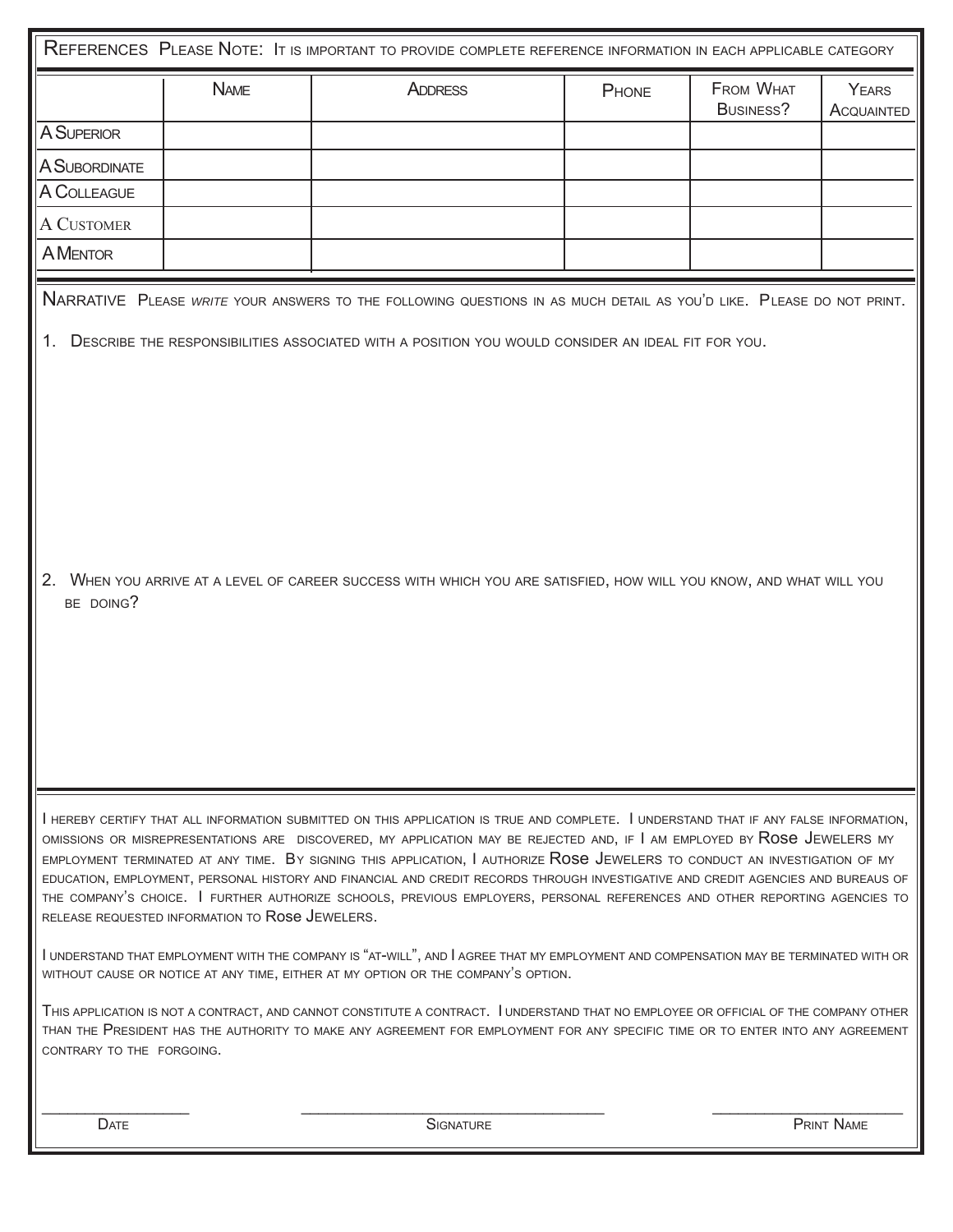|                                                                                                                                                                                                                                                                                                                                                                                                                                                                                                                                                                                                                                                                                                                        |             | REFERENCES PLEASE NOTE: IT IS IMPORTANT TO PROVIDE COMPLETE REFERENCE INFORMATION IN EACH APPLICABLE CATEGORY                                                                                                              |       |                               |                            |  |
|------------------------------------------------------------------------------------------------------------------------------------------------------------------------------------------------------------------------------------------------------------------------------------------------------------------------------------------------------------------------------------------------------------------------------------------------------------------------------------------------------------------------------------------------------------------------------------------------------------------------------------------------------------------------------------------------------------------------|-------------|----------------------------------------------------------------------------------------------------------------------------------------------------------------------------------------------------------------------------|-------|-------------------------------|----------------------------|--|
|                                                                                                                                                                                                                                                                                                                                                                                                                                                                                                                                                                                                                                                                                                                        | <b>NAME</b> | <b>ADDRESS</b>                                                                                                                                                                                                             | PHONE | <b>FROM WHAT</b><br>BUSINESS? | <b>YEARS</b><br>ACQUAINTED |  |
| <b>A SUPERIOR</b>                                                                                                                                                                                                                                                                                                                                                                                                                                                                                                                                                                                                                                                                                                      |             |                                                                                                                                                                                                                            |       |                               |                            |  |
| <b>A SUBORDINATE</b>                                                                                                                                                                                                                                                                                                                                                                                                                                                                                                                                                                                                                                                                                                   |             |                                                                                                                                                                                                                            |       |                               |                            |  |
| A COLLEAGUE                                                                                                                                                                                                                                                                                                                                                                                                                                                                                                                                                                                                                                                                                                            |             |                                                                                                                                                                                                                            |       |                               |                            |  |
| A CUSTOMER                                                                                                                                                                                                                                                                                                                                                                                                                                                                                                                                                                                                                                                                                                             |             |                                                                                                                                                                                                                            |       |                               |                            |  |
| <b>A MENTOR</b>                                                                                                                                                                                                                                                                                                                                                                                                                                                                                                                                                                                                                                                                                                        |             |                                                                                                                                                                                                                            |       |                               |                            |  |
| NARRATIVE PLEASE WRITE YOUR ANSWERS TO THE FOLLOWING QUESTIONS IN AS MUCH DETAIL AS YOU'D LIKE. PLEASE DO NOT PRINT.<br>1.<br>DESCRIBE THE RESPONSIBILITIES ASSOCIATED WITH A POSITION YOU WOULD CONSIDER AN IDEAL FIT FOR YOU.                                                                                                                                                                                                                                                                                                                                                                                                                                                                                        |             |                                                                                                                                                                                                                            |       |                               |                            |  |
| $2_{-}$<br>WHEN YOU ARRIVE AT A LEVEL OF CAREER SUCCESS WITH WHICH YOU ARE SATISFIED, HOW WILL YOU KNOW, AND WHAT WILL YOU<br>BE DOING?                                                                                                                                                                                                                                                                                                                                                                                                                                                                                                                                                                                |             |                                                                                                                                                                                                                            |       |                               |                            |  |
| I HEREBY CERTIFY THAT ALL INFORMATION SUBMITTED ON THIS APPLICATION IS TRUE AND COMPLETE. I UNDERSTAND THAT IF ANY FALSE INFORMATION,<br>OMISSIONS OR MISREPRESENTATIONS ARE DISCOVERED, MY APPLICATION MAY BE REJECTED AND, IF I AM EMPLOYED BY ROSE JEWELERS MY<br>EMPLOYMENT TERMINATED AT ANY TIME. BY SIGNING THIS APPLICATION, I AUTHORIZE ROSE JEWELERS TO CONDUCT AN INVESTIGATION OF MY<br>EDUCATION, EMPLOYMENT, PERSONAL HISTORY AND FINANCIAL AND CREDIT RECORDS THROUGH INVESTIGATIVE AND CREDIT AGENCIES AND BUREAUS OF<br>THE COMPANY'S CHOICE. I FURTHER AUTHORIZE SCHOOLS, PREVIOUS EMPLOYERS, PERSONAL REFERENCES AND OTHER REPORTING AGENCIES TO<br>RELEASE REQUESTED INFORMATION TO ROSE JEWELERS. |             |                                                                                                                                                                                                                            |       |                               |                            |  |
|                                                                                                                                                                                                                                                                                                                                                                                                                                                                                                                                                                                                                                                                                                                        |             | I UNDERSTAND THAT EMPLOYMENT WITH THE COMPANY IS "AT-WILL", AND I AGREE THAT MY EMPLOYMENT AND COMPENSATION MAY BE TERMINATED WITH OR<br>WITHOUT CAUSE OR NOTICE AT ANY TIME, EITHER AT MY OPTION OR THE COMPANY'S OPTION. |       |                               |                            |  |
| THIS APPLICATION IS NOT A CONTRACT, AND CANNOT CONSTITUTE A CONTRACT. I UNDERSTAND THAT NO EMPLOYEE OR OFFICIAL OF THE COMPANY OTHER<br>THAN THE PRESIDENT HAS THE AUTHORITY TO MAKE ANY AGREEMENT FOR EMPLOYMENT FOR ANY SPECIFIC TIME OR TO ENTER INTO ANY AGREEMENT<br>CONTRARY TO THE FORGOING.                                                                                                                                                                                                                                                                                                                                                                                                                    |             |                                                                                                                                                                                                                            |       |                               |                            |  |
|                                                                                                                                                                                                                                                                                                                                                                                                                                                                                                                                                                                                                                                                                                                        |             |                                                                                                                                                                                                                            |       |                               |                            |  |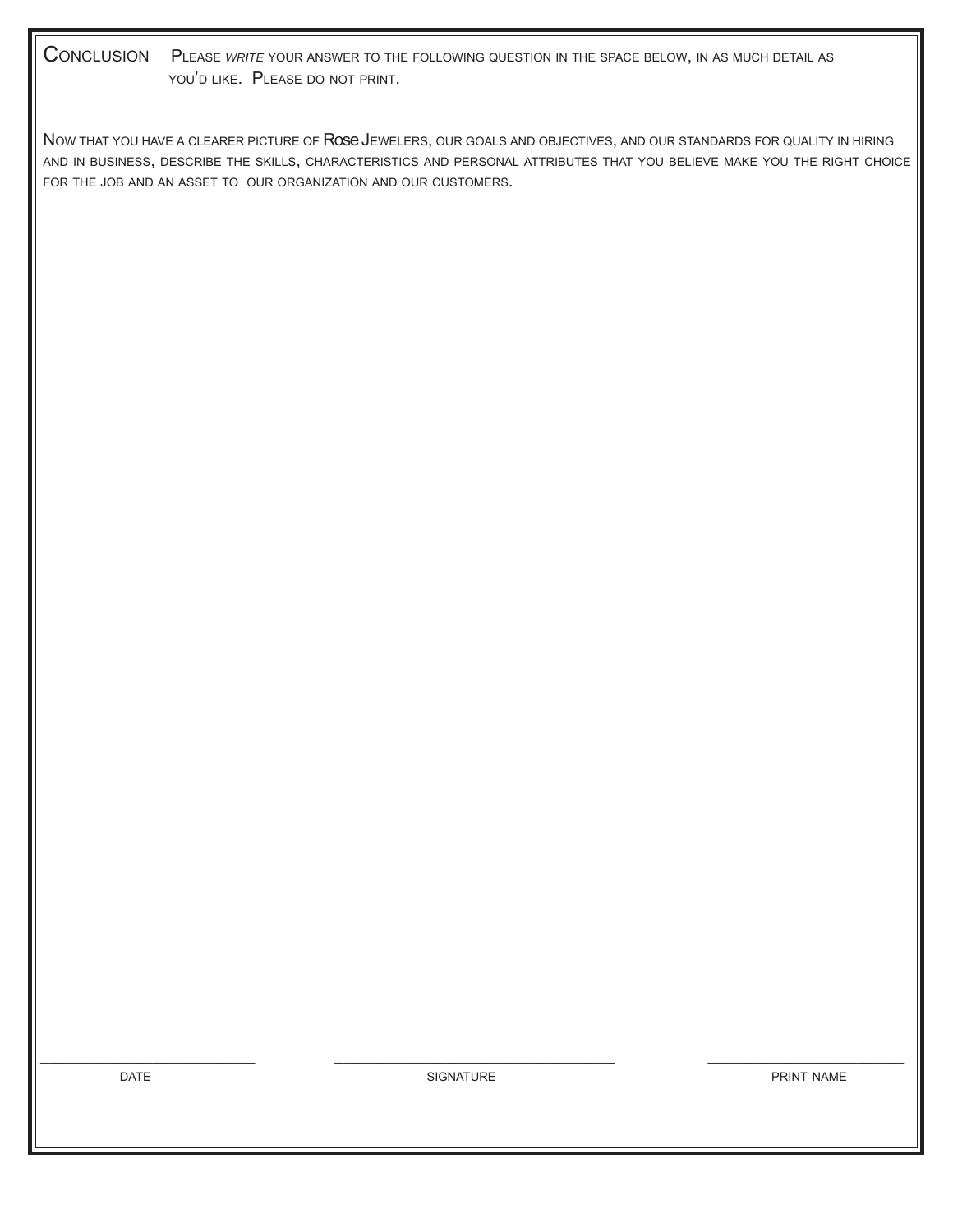CONCLUSION PLEASE *WRITE* YOUR ANSWER TO THE FOLLOWING QUESTION IN THE SPACE BELOW, IN AS MUCH DETAIL AS YOU'D LIKE. PLEASE DO NOT PRINT.

NOW THAT YOU HAVE A CLEARER PICTURE OF ROSE JEWELERS, OUR GOALS AND OBJECTIVES, AND OUR STANDARDS FOR QUALITY IN HIRING AND IN BUSINESS, DESCRIBE THE SKILLS, CHARACTERISTICS AND PERSONAL ATTRIBUTES THAT YOU BELIEVE MAKE YOU THE RIGHT CHOICE FOR THE JOB AND AN ASSET TO OUR ORGANIZATION AND OUR CUSTOMERS.

 $\_$  , and the contribution of the contribution of the contribution of the contribution of  $\mathcal{L}_\mathcal{A}$ 

DATE **SIGNATURE** SIGNATURE **SIGNATURE PRINT NAME**